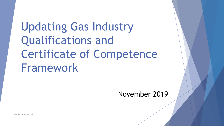Updating Gas Industry Qualifications and Certificate of Competence Framework

### November 2019

Zander Services Ltd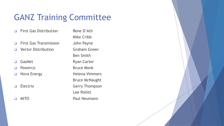# GANZ Training Committee

- ❑ First Gas Distribution Rene D'Ath
- ❑ First Gas Transmission John Payne
- ❑ Vector Distribution Graham Green
- 
- 
- 
- 
- 

Mike Cribb Ben Smith □ GasNet Ryan Carter ❑ Powerco Bruce Monk ❑ Nova Energy Helena Vimmers Bruce McNaught ❑ Electrix Gerry Thompson Lee Pollitt ❑ MITO Paul Neumann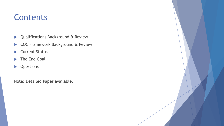### Contents

- **D** Qualifications Background & Review
- ▶ COC Framework Background & Review
- ▶ Current Status
- The End Goal
- **D**<br>**Questions**

Note: Detailed Paper available.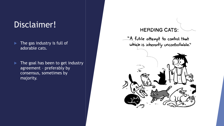### Disclaimer!

- $\blacktriangleright$  The gas industry is full of adorable cats.
- The goal has been to get industry agreement – preferably by consensus, sometimes by majority.

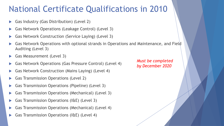### National Certificate Qualifications in 2010

- Gas Industry (Gas Distribution) (Level 2)
- Gas Network Operations (Leakage Control) (Level 3)
- Gas Network Construction (Service Laying) (Level 3)
- Gas Network Operations with optional strands in Operations and Maintenance, and Field Auditing (Level 3)
- Gas Measurement (Level 3)
- Gas Network Operations (Gas Pressure Control) (Level 4)
- Gas Network Construction (Mains Laying) (Level 4)
- Gas Transmission Operations (Level 2)
- Gas Transmission Operations (Pipeline) (Level 3)
- Gas Transmission Operations (Mechanical) (Level 3)
- Gas Transmission Operations (I&E) (Level 3)
- Gas Transmission Operations (Mechanical) (Level 4)
- Gas Transmission Operations (I&E) (Level 4)

*Must be completed by December 2020*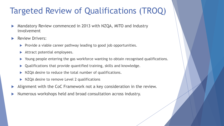# Targeted Review of Qualifications (TROQ)

- Mandatory Review commenced in 2013 with NZQA, MITO and Industry involvement
- Review Drivers:
	- $\blacktriangleright$  Provide a viable career pathway leading to good job opportunities.
	- Attract potential employees.
	- Young people entering the gas workforce wanting to obtain recognised qualifications.
	- Qualifications that provide quantified training, skills and knowledge.
	- NZQA desire to reduce the total number of qualifications.
	- NZQA desire to remove Level 2 qualifications
- Alignment with the CoC Framework not a key consideration in the review.
- Numerous workshops held and broad consultation across industry.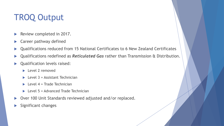# TROQ Output

- Review completed in 2017.
- **Career pathway defined**
- Qualifications reduced from 15 National Certificates to 6 New Zealand Certificates
- Qualifications redefined as *Reticulated Gas* rather than Transmission & Distribution.
- **D** Qualification levels raised:
	- **Level 2 removed**
	- $\blacktriangleright$  Level 3 = Assistant Technician
	- $\blacktriangleright$  Level 4 = Trade Technician
	- $\blacktriangleright$  Level 5 = Advanced Trade Technician
- ▶ Over 100 Unit Standards reviewed adjusted and/or replaced.
- Significant changes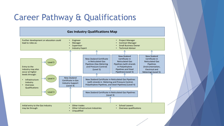## Career Pathway & Qualifications

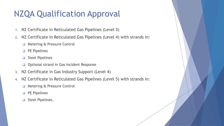# NZQA Qualification Approval

- 1. NZ Certificate in Reticulated Gas Pipelines (Level 3)
- 2. NZ Certificate in Reticulated Gas Pipelines (Level 4) with strands in:
	- ❑ Metering & Pressure Control
	- ❑ PE Pipelines
	- ❑ Steel Pipelines
	- ❑ Optional strand in Gas Incident Response
- 3. NZ Certificate in Gas Industry Support (Level 4)
- 4. NZ Certificate in Reticulated Gas Pipelines (Level 5) with strands in:
	- ❑ Metering & Pressure Control
	- ❑ PE Pipelines
	- ❑ Steel Pipelines.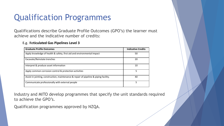# Qualification Programmes

Qualifications describe Graduate Profile Outcomes (GPO's) the learner must achieve and the indicative number of credits:

#### **E.g**. **Reticulated Gas Pipelines Level 3**

| <b>Graduate Profile Outcomes</b>                                                      | <b>Indicative Credits</b> |
|---------------------------------------------------------------------------------------|---------------------------|
| Apply knowledge of health & safety, first aid and environmental impact                | 50                        |
| Excavate/Reinstate trenches                                                           | 20                        |
| Interpret & produce asset information                                                 | 10                        |
| Apply common corrosion control & protection activities                                | 5                         |
| Assist in jointing, construction, maintenance & repair of pipeline & piping facility. | 40                        |
| Communicate professionally with external people                                       | 5                         |

Industry and MITO develop programmes that specify the unit standards required to achieve the GPO's.

Qualification programmes approved by NZQA.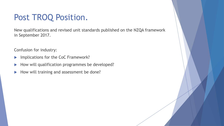### Post TROQ Position.

New qualifications and revised unit standards published on the NZQA framework in September 2017.

Confusion for industry:

- Implications for the CoC Framework?
- How will qualification programmes be developed?
- How will training and assessment be done?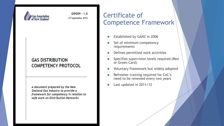

GIP009 - 1.0 27 September 2012

### **GAS DISTRIBUTION COMPETENCY PROTOCOL**

A document prepared by the New Zealand Gas Industry to provide a framework for competency in relation to safe work on Distribution Networks

### Certificate of Competence Framework

- Established by GANZ in 2006
- Set of minimum competency requirements
- Defines permitted work activities
- Specifies supervision levels required (Red or Green Card)
- Voluntary framework but widely adopted
- Refresher training required for CoC's need to be renewed every two years
- Last updated in 2011/12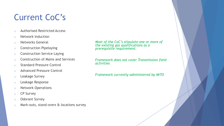# Current CoC's

- o Authorised Restricted Access
- o Network Induction
- o Networks General
- o Construction Pipelaying
- o Construction Service Laying
- o Construction of Mains and Services
- o Standard Pressure Control
- o Advanced Pressure Control
- o Leakage Survey
- o Leakage Response
- o Network Operations
- o CP Survey
- o Odorant Survey
- o Mark-outs, stand-overs & locations survey

*Most of the CoC's stipulate one or more of the existing gas qualifications as a prerequisite requirement.* 

*Framework does not cover Transmission field activities*

*Framework currently administered by MITO*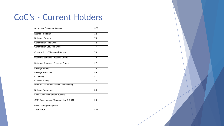## CoC's - Current Holders

| <b>Authorised Restricted Access</b>          | 377            |
|----------------------------------------------|----------------|
| Network Induction                            | 12             |
| <b>Networks General</b>                      | 75             |
| <b>Construction Pipelaying</b>               | 32             |
| <b>Construction Service Laying</b>           | 47             |
| <b>Construction of Mains and Services</b>    | 78             |
| <b>Networks Standard Pressure Control</b>    | 20             |
| Networks Advanced Pressure Control           | 27             |
| Leakage Survey                               | 10             |
| Leakage Response                             | 59             |
| <b>CP Survey</b>                             | 8              |
| <b>Odorant Survey</b>                        | 14             |
| Mark out, stand-overs and location survey    | 11             |
| <b>Network Operations</b>                    | 30             |
| Field Supervision and/or Auditing            | $\overline{2}$ |
| <b>GMS Disconnection/Reconnection GIP001</b> | 26             |
| <b>GMS Leakage Response</b>                  | 11             |
| <b>Total CoCs</b>                            | 839            |

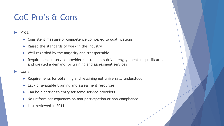### CoC Pro's & Cons

### Pros:

- ▶ Consistent measure of competence compared to qualifications
- $\blacktriangleright$  Raised the standards of work in the Industry
- $\triangleright$  Well regarded by the majority and transportable
- Requirement in service provider contracts has driven engagement in qualifications and created a demand for training and assessment services

### Cons:

- Requirements for obtaining and retaining not universally understood.
- **Lack of available training and assessment resources**
- $\triangleright$  Can be a barrier to entry for some service providers
- No uniform consequences on non-participation or non-compliance
- Last reviewed in 2011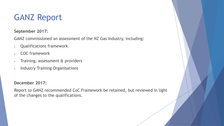### GANZ Report

**September 2017:**

GANZ commissioned an assessment of the NZ Gas Industry, including:

- Qualifications framework
- COC framework
- Training, assessment & providers
- Industry Training Organisations

### **December 2017:**

Report to GANZ recommended CoC Framework be retained, but reviewed in light of the changes to the qualifications.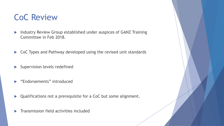### CoC Review

- Industry Review Group established under auspices of GANZ Training Committee in Feb 2018.
- ▶ CoC Types and Pathway developed using the revised unit standards
- Supervision levels redefined
- "Endorsements" introduced
- ▶ Qualifications not a prerequisite for a CoC but some alignment.
- Transmission field activities included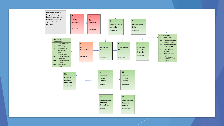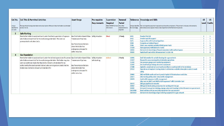| <b>CoC No.</b>          | <b>CoC Title &amp; Permitted Activities</b>                                                                                     | <b>Asset Range</b>                             | Pre-requisite       | Supervision                                                 | Renewal                   |                 | Reference Knowledge and Skills                                                                                                                                                                              | <b>US</b>      | <b>US</b>       |
|-------------------------|---------------------------------------------------------------------------------------------------------------------------------|------------------------------------------------|---------------------|-------------------------------------------------------------|---------------------------|-----------------|-------------------------------------------------------------------------------------------------------------------------------------------------------------------------------------------------------------|----------------|-----------------|
| Unique<br>identfier for | The type of work being undertaken and a description of the activities the holder is authorised<br>to do or not do.              |                                                | <b>Requirements</b> | Required<br>Refer GIP009 for more How often<br>information. | Period<br>reassessment is | for knowledge.  | Unique identifer   The training and assessment required to achieve the competency. This primarily includes unit standards.<br>Alternatives are accepted where a clear alignment to the framework is proven. |                | Level   Credits |
| CoC Card                |                                                                                                                                 |                                                |                     |                                                             | required.                 |                 |                                                                                                                                                                                                             |                |                 |
| -3                      | <b>Safe Working</b>                                                                                                             |                                                |                     |                                                             |                           |                 |                                                                                                                                                                                                             |                |                 |
|                         | Permits the holder to assist and work under the direct supervision of a person                                                  | Gas Distribution Assets & Gas Safety Induction |                     | <b>Direct</b>                                               | 2 Yearly                  | 6401            | <b>Provide First Aid</b>                                                                                                                                                                                    | $\mathbf{2}$   |                 |
|                         | who holds a relevant CoC for the works being undertaken. This CoC is a                                                          | <b>Transmission Pipelines.</b>                 |                     |                                                             |                           | 6402            | <b>Provide basic life support</b>                                                                                                                                                                           | $\mathbf{1}$   |                 |
|                         | prerequisite for all other CoC's.                                                                                               |                                                |                     |                                                             |                           | 3271            | Suppress fire with hand extinguishers                                                                                                                                                                       |                |                 |
|                         |                                                                                                                                 | <b>Gas Transmission Stations</b>               |                     |                                                             |                           | 3490            | <b>Complete an Incident Report</b>                                                                                                                                                                          |                |                 |
|                         |                                                                                                                                 | where the holder has                           |                     |                                                             |                           | 2396            | Select, use, maintain portable h/held power tools                                                                                                                                                           | $\mathcal{I}$  |                 |
|                         |                                                                                                                                 | undergone a site specific                      |                     |                                                             |                           | 11328           | Gain approvals/notifications for works                                                                                                                                                                      | 3              |                 |
|                         |                                                                                                                                 |                                                |                     |                                                             |                           | 18426           | Demonstrate knowledge of hazards associated with confined spaces                                                                                                                                            | 3              |                 |
|                         |                                                                                                                                 | safety induction.                              |                     |                                                             |                           | 30265           | Apply health and safety risk assessment to a job role                                                                                                                                                       | 3              |                 |
|                         | <b>Gas Foundation</b>                                                                                                           |                                                |                     |                                                             |                           |                 |                                                                                                                                                                                                             |                |                 |
|                         | Permits the holder to assist and work under the indirect supervision of a person Gas Distribution Assets & Gas Safety Induction |                                                |                     | Indirect                                                    | 2 Yearly                  | 10995           | Draft information for as-built drawings for a gas network                                                                                                                                                   | 3              |                 |
|                         | who holds a relevant CoC for the works being undertaken. The holder may also                                                    | <b>Transmission Pipelines.</b>                 | Safe Working        |                                                             |                           | 11327           | Respond to concerns/enquiries to industry operations                                                                                                                                                        | $\overline{3}$ |                 |
|                         | carry out additional tasks that they hold a relevant unit standard for as                                                       |                                                |                     |                                                             |                           | 12502           | Use pressure gauges and monitoring equipment                                                                                                                                                                | 3              |                 |
|                         | authorised by the asset operator but excludes carrying out any tasks that the                                                   | <b>Gas Transmission Stations</b>               |                     |                                                             |                           | 12507           | Use hand held gas leakage detection equipment                                                                                                                                                               | 3              |                 |
|                         | holder does not hold a relevant unit standard for.                                                                              | where the holder has                           |                     |                                                             |                           | 17588           | Apply for, accept and carry out work according to a work permit in the workplace                                                                                                                            | $\mathbf{3}$   |                 |
|                         |                                                                                                                                 | undergone a site specific<br>safety induction. |                     |                                                             |                           | 25510           | Operate an atmospheric testing device to determine a suitable atmosphere exists to work<br>safely                                                                                                           | 3              |                 |
|                         |                                                                                                                                 |                                                |                     |                                                             |                           | 20869           | DKO notifiable works and work permits typical of infrastructure work sites                                                                                                                                  | $\mathbf{3}$   |                 |
|                         |                                                                                                                                 |                                                |                     |                                                             |                           | 20877           | DKO working safely under temp traffic management                                                                                                                                                            | $\overline{2}$ |                 |
|                         |                                                                                                                                 |                                                |                     |                                                             |                           | 20878           | Assist with temporary traffic management                                                                                                                                                                    | $\mathbf{1}$   | $\overline{2}$  |
|                         |                                                                                                                                 |                                                |                     |                                                             |                           |                 | Alternate to 20877 and 20878; NZTA approved Traffic Controller Card                                                                                                                                         |                |                 |
|                         |                                                                                                                                 |                                                |                     |                                                             |                           | 30370           | DKO gas pipelines & networks                                                                                                                                                                                | $\mathbf{3}$   | 6               |
|                         |                                                                                                                                 |                                                |                     |                                                             |                           | 30367           | DKO gas & risks & safety precautions for working with live gas                                                                                                                                              | 3              |                 |
|                         |                                                                                                                                 |                                                |                     |                                                             |                           | 30380           | Interpret & use gas terminology, signage. plans and drawings to identify assets in a gas network                                                                                                            | 3              |                 |
|                         |                                                                                                                                 |                                                |                     |                                                             |                           | <b>GAS XX08</b> | Read and interpret gas metering equipment for a gas network                                                                                                                                                 | 3              |                 |
|                         |                                                                                                                                 |                                                |                     |                                                             |                           | GAS XX10        | Demonstrate knowledge of gas metering equipment in a gas network                                                                                                                                            | 3              |                 |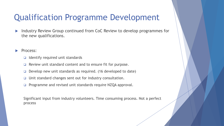### Qualification Programme Development

Industry Review Group continued from CoC Review to develop programmes for the new qualifications.

#### Process:

- ❑ Identify required unit standards
- Review unit standard content and to ensure fit for purpose.
- Develop new unit standards as required. (16 developed to date)
- ❑ Unit standard changes sent out for industry consultation.
- ❑ Programme and revised unit standards require NZQA approval.

Significant input from industry volunteers. Time consuming process. Not a perfect process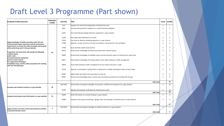### Draft Level 3 Programme (Part shown)

| <b>Graduate Profile Outcome</b>                                                                                                                                          | Indicative<br><b>Credits</b> | Unit Std. | Title                                                                                              | Level          | <b>Credits</b> |
|--------------------------------------------------------------------------------------------------------------------------------------------------------------------------|------------------------------|-----------|----------------------------------------------------------------------------------------------------|----------------|----------------|
|                                                                                                                                                                          |                              | 3271      | Suppress fire with hand extinguishers and fixed hose reels                                         | $\overline{2}$ | 1              |
|                                                                                                                                                                          |                              | 9631      | Use personal protection equipment in a petrochemical workplace                                     | $\overline{2}$ | $\overline{2}$ |
|                                                                                                                                                                          |                              | 12507     | Use hand-held gas leakage detection equipment in a gas network                                     | 3              | 5              |
|                                                                                                                                                                          |                              | 11328     | Gain approvals/notifications for works                                                             | 3              | 3              |
|                                                                                                                                                                          |                              | 12526     | Use fresh air distance breathing apparatus in a gas network                                        | 3              | 3              |
| Apply knowledge of health and safety, basic first aid,<br>environmental impact awareness and risk assessment<br>requirements to ensure the safety of people and property |                              | 17588     | Apply for, accept, and carry out work according to a work permit in the workplace                  | 3              | $\overline{a}$ |
| while performing work in the gas industry.                                                                                                                               |                              | 17590     | Issue worksite specific work permits                                                               | 3              | 6              |
| Programme and assessment will include the following:                                                                                                                     |                              | 18426     | Demonstrate knowledge of hazards associated with confined spaces                                   | 3              | $\overline{a}$ |
| confined spaces<br>public roads<br>personal protective equipment<br>permit to work systems<br>fire suppression techniques                                                | 50                           | 20869     | Demonstrate knowledge of notifiable works and work permits typical of infrastructure works sites   | 3              | $\overline{3}$ |
|                                                                                                                                                                          |                              | 20877     | Demonstrate knowledge of working safely at sites under temporary traffic management                | $\overline{2}$ | $\overline{2}$ |
| knowledge of gas, and the safety precautions for working<br>with live reticulated gas.                                                                                   |                              | 20878     | Assist with temporary traffic management for low volume and Level 1 roads                          | $\overline{2}$ | 1              |
|                                                                                                                                                                          |                              | 25510     | Operate an atmospheric testing device to determine a suitable atmosphere exists to work safely     | 3              | $\overline{a}$ |
|                                                                                                                                                                          |                              | 30265     | Apply health and safety risk assessment to a job role                                              | 3              | 8              |
|                                                                                                                                                                          |                              | 30367     | Demonstrate knowledge of gas, and the risks and safety precautions for working with live gas       | 3              | 6              |
|                                                                                                                                                                          |                              |           | <b>GPO Total</b>                                                                                   |                | 52             |
|                                                                                                                                                                          |                              | GAS XX01  | Demonstrate and apply knowledge of excavation, backfill and compaction for a gas network.          | 3              | 10             |
| Excavate and reinstate trenches on a gas worksite                                                                                                                        | 20                           | 31448     | Operate and maintain small plant for infrastructure works                                          | 3              | 10             |
|                                                                                                                                                                          |                              |           | <b>GPO Total</b>                                                                                   |                | 20             |
| Interpret and produce asset information on a gas worksite                                                                                                                | 10                           | 10995     | Draft information for as built drawing in a gas network                                            | 3              | 5              |
|                                                                                                                                                                          |                              | 30380     | Interpret and use gas terminology, signage, plans and drawings to identify assets in a gas network | 3              | 6              |
|                                                                                                                                                                          |                              |           | <b>GPO Total</b>                                                                                   |                | -11            |
| Apply common corrosion control and protection activities                                                                                                                 | 5                            | GAS XX02  | Demonstrate and apply knowledge of cathodic protection in a gas network.                           | 3              | 5              |
| to protect/maintain assets.                                                                                                                                              |                              |           | GPO Total                                                                                          |                | 5              |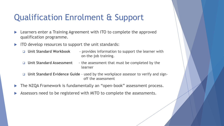# Qualification Enrolment & Support

- ▶ Learners enter a Training Agreement with ITO to complete the approved qualification programme.
- ITO develop resources to support the unit standards:
	- ❑ **Unit Standard Workbook**  provides information to support the learner with on-the-job training.
	- ❑ **Unit Standard Assessment** the assessment that must be completed by the learner
	- ❑ **Unit Standard Evidence Guide**  used by the workplace assessor to verify and signoff the assessment
- The NZQA Framework is fundamentally an "open-book" assessment process.
- Assessors need to be registered with MITO to complete the assessments.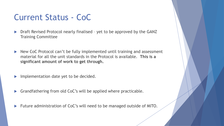### Current Status - CoC

- ▶ Draft Revised Protocol nearly finalised yet to be approved by the GANZ Training Committee
- ▶ New CoC Protocol can't be fully implemented until training and assessment material for all the unit standards in the Protocol is available. **This is a significant amount of work to get through.**
- Implementation date yet to be decided.
- Grandfathering from old CoC's will be applied where practicable.
- ▶ Future administration of CoC's will need to be managed outside of MITO.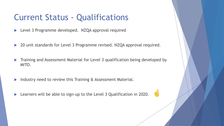### Current Status - Qualifications

- ▶ Level 3 Programme developed. NZQA approval required
- ▶ 20 unit standards for Level 3 Programme revised. NZQA approval required.
- **Training and Assessment Material for Level 3 qualification being developed by** MITO.
- Industry need to review this Training & Assessment Material.
- ▶ Learners will be able to sign-up to the Level 3 Qualification in 2020.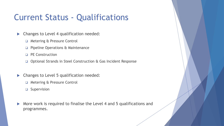### Current Status - Qualifications

- **Changes to Level 4 qualification needed:** 
	- ❑ Metering & Pressure Control
	- ❑ Pipeline Operations & Maintenance
	- ❑ PE Construction
	- ❑ Optional Strands in Steel Construction & Gas Incident Response
- **Changes to Level 5 qualification needed:** 
	- ❑ Metering & Pressure Control
	- ❑ Supervision
- More work is required to finalise the Level 4 and 5 qualifications and programmes.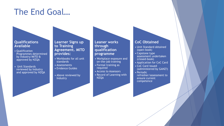### The End Goal…

#### **Qualifications Available**

- Qualification Programmes determined by Industry/MITO & approved by NZQA
- Unit Standards reviewed by Industry and approved by NZQA

#### **Learner Signs up to Training Agreement. MITO provides:**

- Workbooks for all unit standards
- Assessments
- Evidence Guides
- Above reviewed by **Industry**

#### **Leaner works through qualification programme**

- Workplace exposure and on-the-job training
- Formal training as required
- Access to Assessors
- Record of Learning with NZQA

### **CoC Obtained**

- Unit Standard obtained (open-book)
- Capstone type assessment undertaken (closed-book)
- Application for CoC Card
- CoC Card issued (administered by GANZ?)
- Periodic
- refresher/assessment to ensure current competence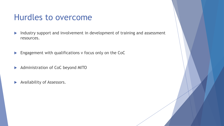### Hurdles to overcome

- Industry support and involvement in development of training and assessment resources.
- **Engagement with qualifications v focus only on the CoC**
- Administration of CoC beyond MITO
- Availability of Assessors.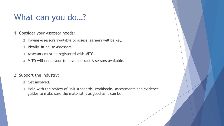### What can you do...?

- 1. Consider your Assessor needs:
	- ❑ Having Assessors available to assess learners will be key.
	- ❑ Ideally, in-house Assessors
	- ❑ Assessors must be registered with MITO.
	- ❑ MITO will endeavour to have contract Assessors available.
- 2. Support the Industry:
	- ❑ Get involved.
	- ❑ Help with the review of unit standards, workbooks, assessments and evidence guides to make sure the material is as good as it can be.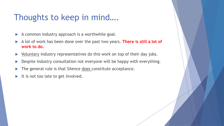### Thoughts to keep in mind….

- A common industry approach is a worthwhile goal.
- A lot of work has been done over the past two years. **There is still a lot of work to do.**
- Voluntary industry representatives do this work on top of their day jobs.
- Despite industry consultation not everyone will be happy with everything.
- The general rule is that Silence does constitute acceptance.
- It is not too late to get involved.